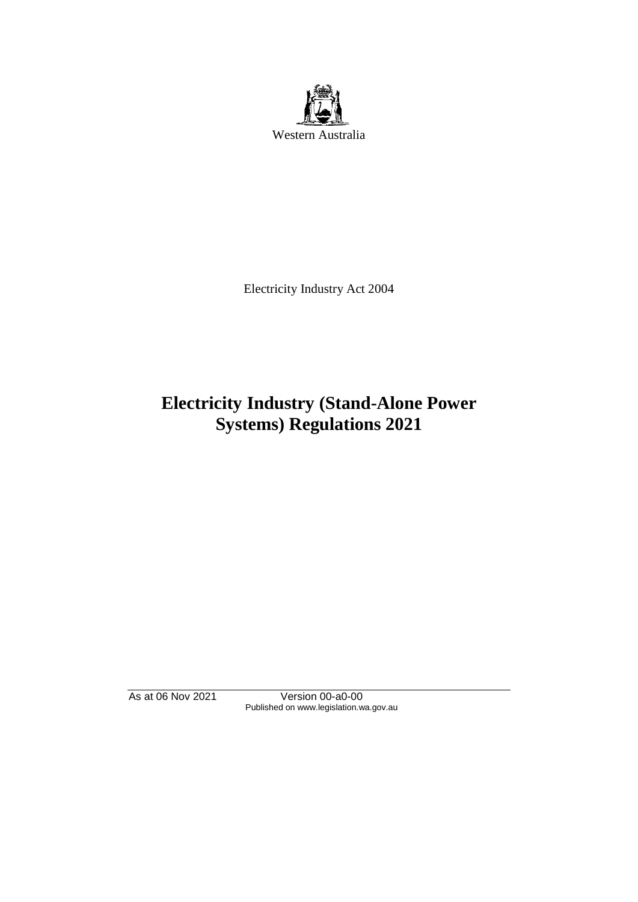

Electricity Industry Act 2004

# **Electricity Industry (Stand-Alone Power Systems) Regulations 2021**

As at 06 Nov 2021 Version 00-a0-00 Published on www.legislation.wa.gov.au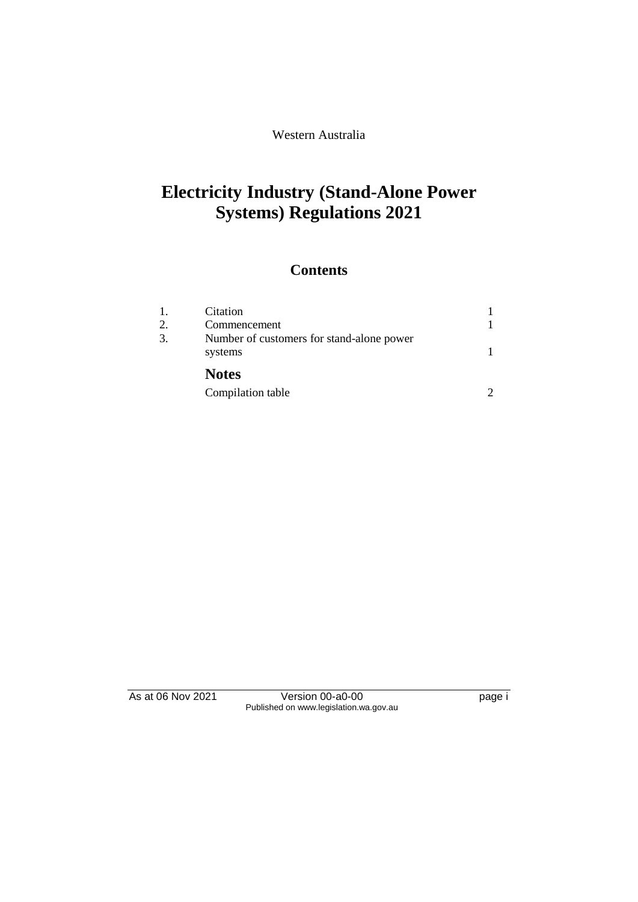Western Australia

# **Electricity Industry (Stand-Alone Power Systems) Regulations 2021**

### **Contents**

| 1.<br>2. | Citation<br>Commencement                             |  |
|----------|------------------------------------------------------|--|
| 3.       | Number of customers for stand-alone power<br>systems |  |
|          | <b>Notes</b>                                         |  |
|          | Compilation table                                    |  |

As at 06 Nov 2021 Version 00-a0-00 Page i Published on www.legislation.wa.gov.au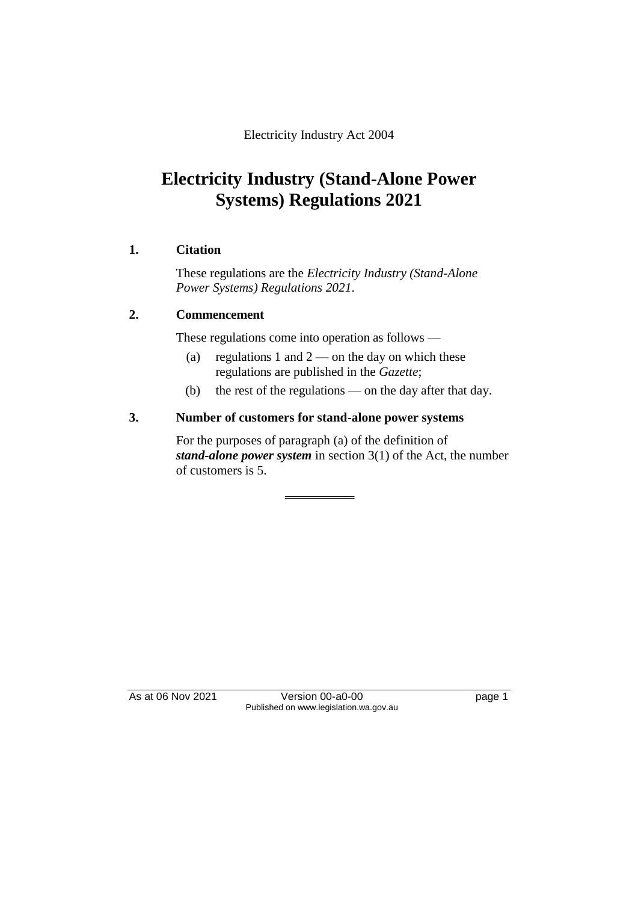Electricity Industry Act 2004

## **Electricity Industry (Stand-Alone Power Systems) Regulations 2021**

#### **1. Citation**

These regulations are the *Electricity Industry (Stand-Alone Power Systems) Regulations 2021*.

#### **2. Commencement**

These regulations come into operation as follows —

- (a) regulations 1 and  $2$  on the day on which these regulations are published in the *Gazette*;
- (b) the rest of the regulations on the day after that day.

#### **3. Number of customers for stand-alone power systems**

For the purposes of paragraph (a) of the definition of *stand-alone power system* in section 3(1) of the Act, the number of customers is 5.

As at 06 Nov 2021 Version 00-a0-00 Published on www.legislation.wa.gov.au